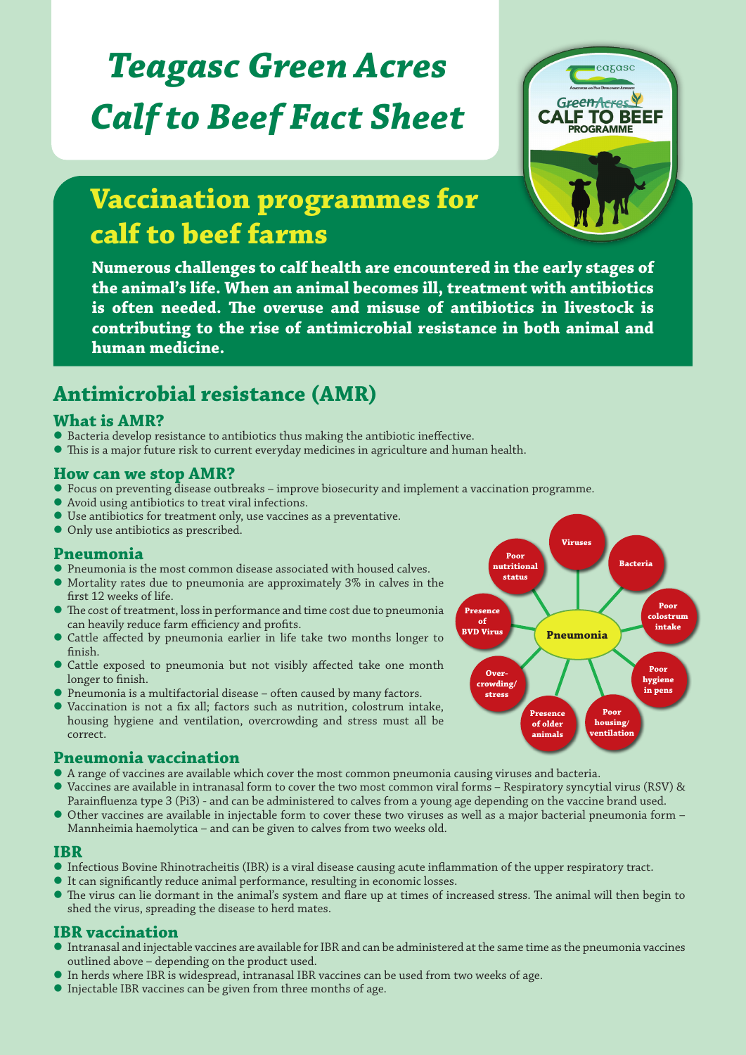# *Teagasc Green Acres Calf to Beef Fact Sheet*



## **Vaccination programmes for calf to beef farms**

**Numerous challenges to calf health are encountered in the early stages of the animal's life. When an animal becomes ill, treatment with antibiotics is often needed. The overuse and misuse of antibiotics in livestock is contributing to the rise of antimicrobial resistance in both animal and human medicine.**

### **Antimicrobial resistance (AMR)**

#### **What is AMR?**

- Bacteria develop resistance to antibiotics thus making the antibiotic ineffective.<br>● This is a major future risk to current everyday medicines in agriculture and hum
- This is a major future risk to current everyday medicines in agriculture and human health.

#### **How can we stop AMR?**

- $\bullet$  Focus on preventing disease outbreaks improve biosecurity and implement a vaccination programme.
- Avoid using antibiotics to treat viral infections.
- Use antibiotics for treatment only, use vaccines as a preventative.
- Only use antibiotics as prescribed.

#### **Pneumonia**

- Pneumonia is the most common disease associated with housed calves.
- Mortality rates due to pneumonia are approximately 3% in calves in the first 12 weeks of life.
- The cost of treatment, loss in performance and time cost due to pneumonia can heavily reduce farm efficiency and profits.
- Cattle affected by pneumonia earlier in life take two months longer to finish.
- Cattle exposed to pneumonia but not visibly affected take one month longer to finish.
- Pneumonia is a multifactorial disease often caused by many factors.
- Vaccination is not a fix all; factors such as nutrition, colostrum intake, housing hygiene and ventilation, overcrowding and stress must all be correct.

#### **Pneumonia vaccination**

- A range of vaccines are available which cover the most common pneumonia causing viruses and bacteria.
- Vaccines are available in intranasal form to cover the two most common viral forms Respiratory syncytial virus (RSV) & Parainfluenza type 3 (Pi3) - and can be administered to calves from a young age depending on the vaccine brand used.
- Other vaccines are available in injectable form to cover these two viruses as well as a major bacterial pneumonia form Mannheimia haemolytica – and can be given to calves from two weeks old.

#### **IBR**

- Infectious Bovine Rhinotracheitis (IBR) is a viral disease causing acute inflammation of the upper respiratory tract.
- It can significantly reduce animal performance, resulting in economic losses.
- The virus can lie dormant in the animal's system and flare up at times of increased stress. The animal will then begin to shed the virus, spreading the disease to herd mates.

#### **IBR vaccination**

- Intranasal and injectable vaccines are available for IBR and can be administered at the same time as the pneumonia vaccines outlined above – depending on the product used.
- In herds where IBR is widespread, intranasal IBR vaccines can be used from two weeks of age.
- Injectable IBR vaccines can be given from three months of age.